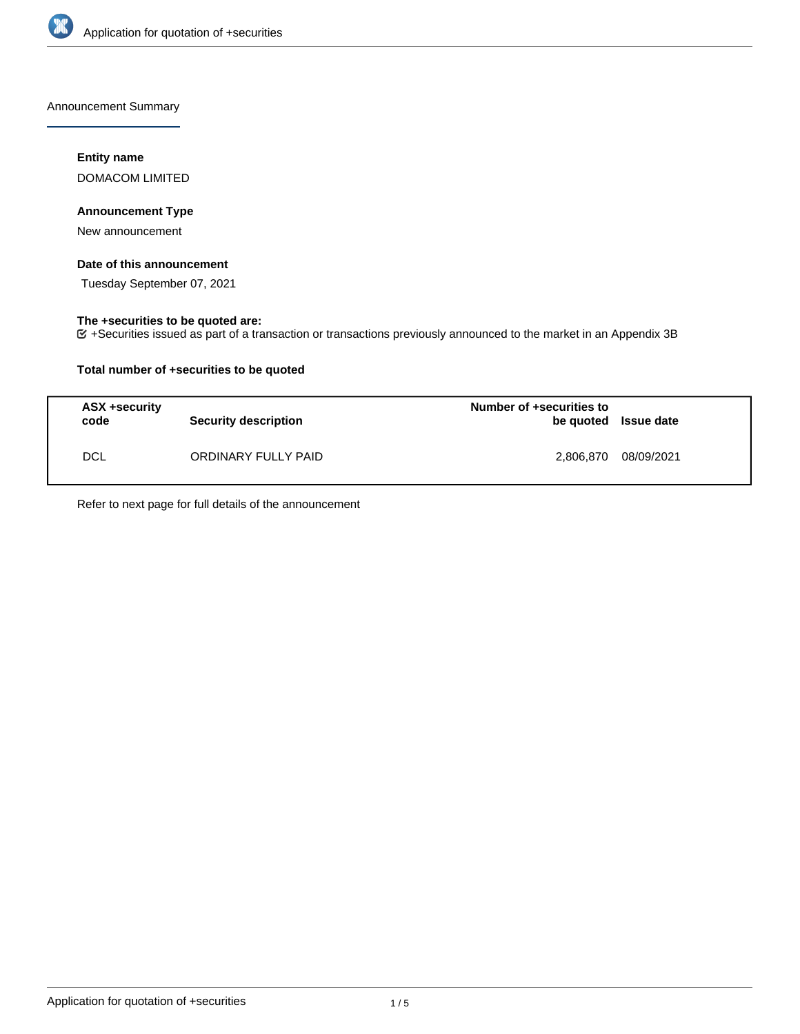

Announcement Summary

# **Entity name**

DOMACOM LIMITED

# **Announcement Type**

New announcement

## **Date of this announcement**

Tuesday September 07, 2021

# **The +securities to be quoted are:**

+Securities issued as part of a transaction or transactions previously announced to the market in an Appendix 3B

# **Total number of +securities to be quoted**

| ASX +security<br>code | <b>Security description</b> | Number of +securities to<br>be quoted Issue date |            |
|-----------------------|-----------------------------|--------------------------------------------------|------------|
| <b>DCL</b>            | ORDINARY FULLY PAID         | 2.806.870                                        | 08/09/2021 |

Refer to next page for full details of the announcement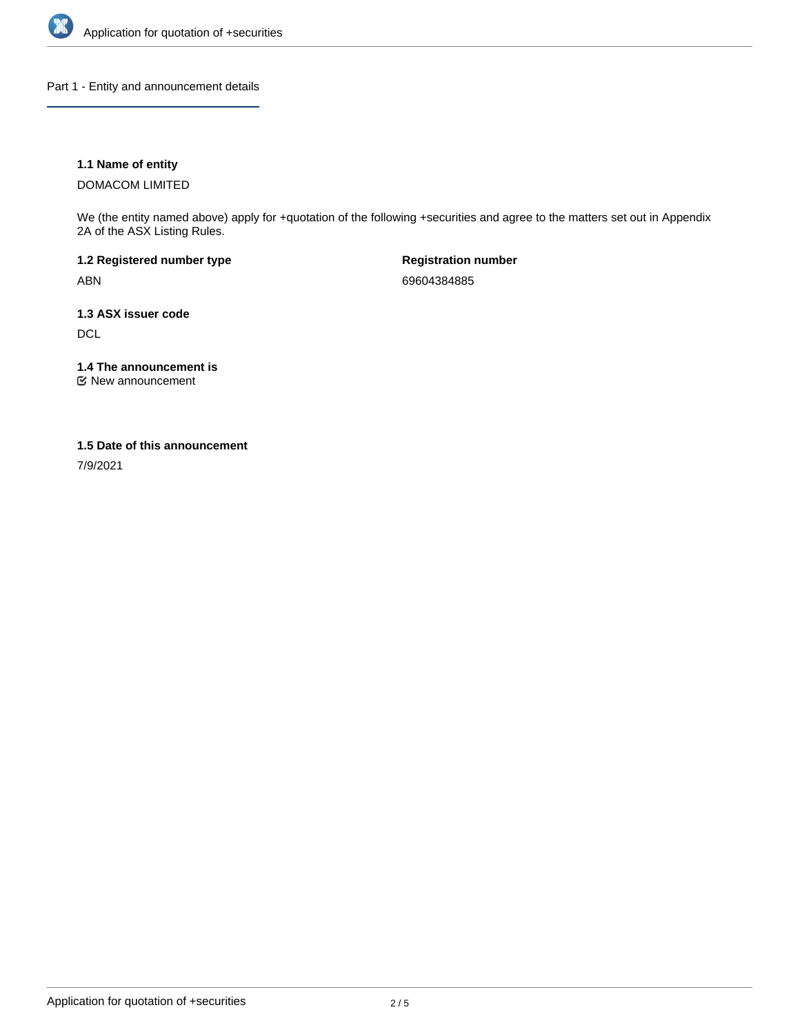

Part 1 - Entity and announcement details

# **1.1 Name of entity**

DOMACOM LIMITED

We (the entity named above) apply for +quotation of the following +securities and agree to the matters set out in Appendix 2A of the ASX Listing Rules.

**1.2 Registered number type** ABN

**Registration number** 69604384885

**1.3 ASX issuer code DCL** 

**1.4 The announcement is**

New announcement

### **1.5 Date of this announcement**

7/9/2021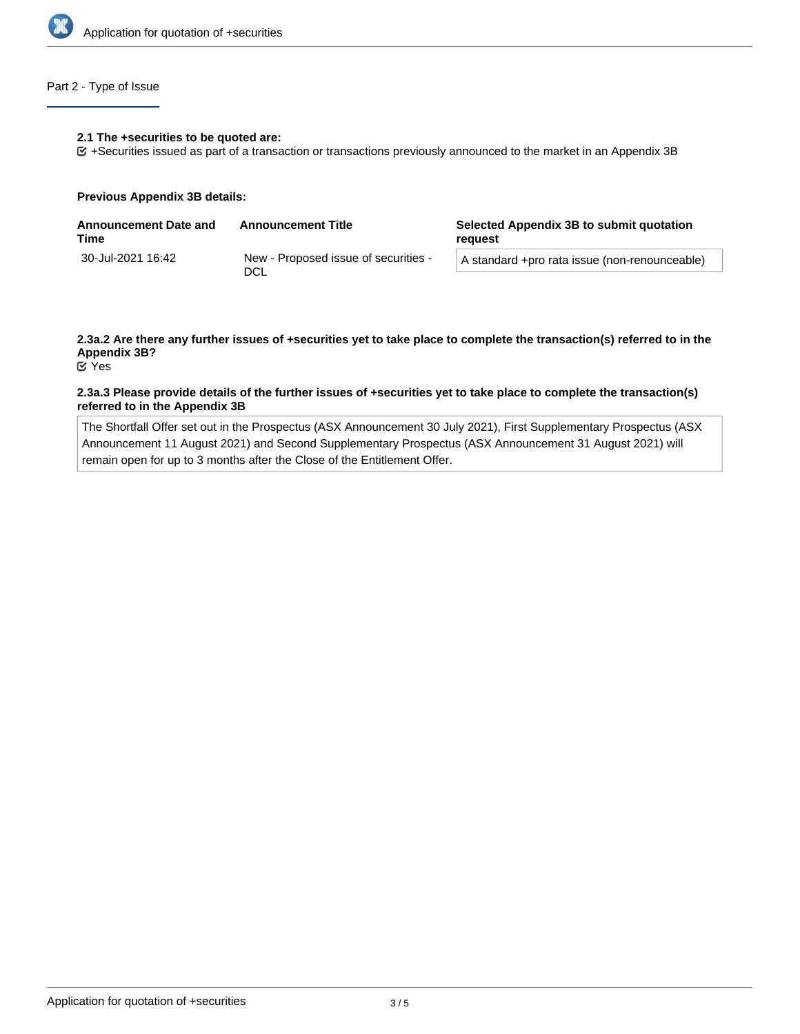

# Part 2 - Type of Issue

#### **2.1 The +securities to be quoted are:**

+Securities issued as part of a transaction or transactions previously announced to the market in an Appendix 3B

#### **Previous Appendix 3B details:**

| <b>Announcement Date and</b><br>Time | <b>Announcement Title</b>                   | Selected Appendix 3B to submit quotation<br>reauest |  |
|--------------------------------------|---------------------------------------------|-----------------------------------------------------|--|
| 30-Jul-2021 16:42                    | New - Proposed issue of securities -<br>DCL | A standard +pro rata issue (non-renounceable)       |  |

# **2.3a.2 Are there any further issues of +securities yet to take place to complete the transaction(s) referred to in the Appendix 3B?**

Yes

### **2.3a.3 Please provide details of the further issues of +securities yet to take place to complete the transaction(s) referred to in the Appendix 3B**

The Shortfall Offer set out in the Prospectus (ASX Announcement 30 July 2021), First Supplementary Prospectus (ASX Announcement 11 August 2021) and Second Supplementary Prospectus (ASX Announcement 31 August 2021) will remain open for up to 3 months after the Close of the Entitlement Offer.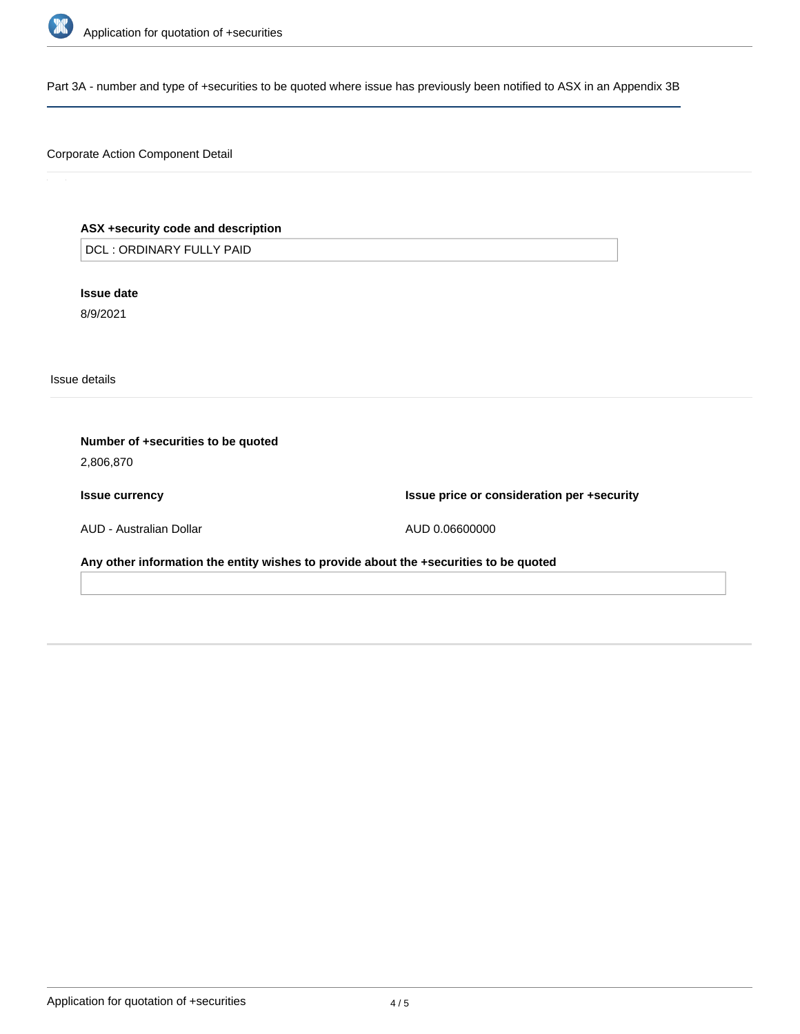

Part 3A - number and type of +securities to be quoted where issue has previously been notified to ASX in an Appendix 3B

# Corporate Action Component Detail

# **ASX +security code and description**

DCL : ORDINARY FULLY PAID

**Issue date**

8/9/2021

Issue details

| Number of +securities to be quoted<br>2,806,870                                       |                                            |
|---------------------------------------------------------------------------------------|--------------------------------------------|
| <b>Issue currency</b>                                                                 | Issue price or consideration per +security |
| AUD - Australian Dollar                                                               | AUD 0.06600000                             |
| Any other information the entity wishes to provide about the +securities to be quoted |                                            |
|                                                                                       |                                            |